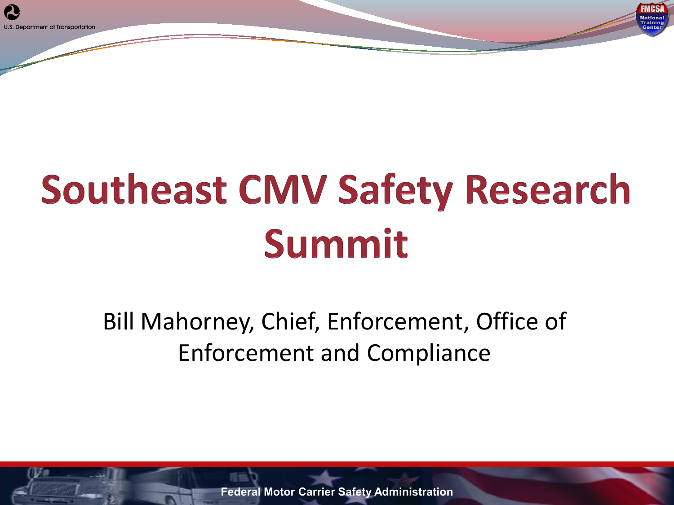# **Southeast CMV Safety Research** Summit

EMES **National Trainin** 

#### Bill Mahorney, Chief, Enforcement, Office of Enforcement and Compliance

**Federal Motor Carrier Safety Administration**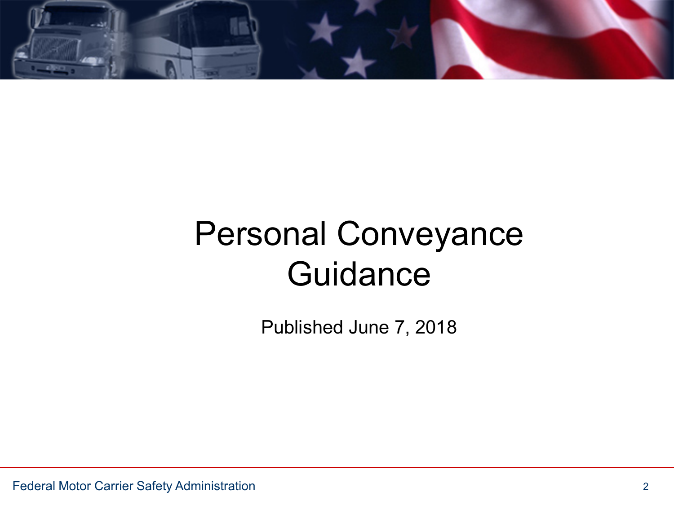

## Personal Conveyance **Guidance**

Published June 7, 2018

Federal Motor Carrier Safety Administration 2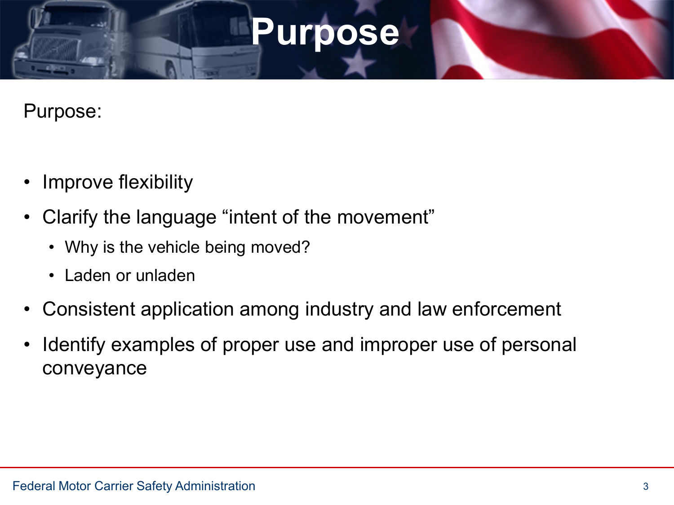### **Purpose**

Purpose:

- Improve flexibility
- Clarify the language "intent of the movement"
	- Why is the vehicle being moved?
	- Laden or unladen
- Consistent application among industry and law enforcement
- Identify examples of proper use and improper use of personal conveyance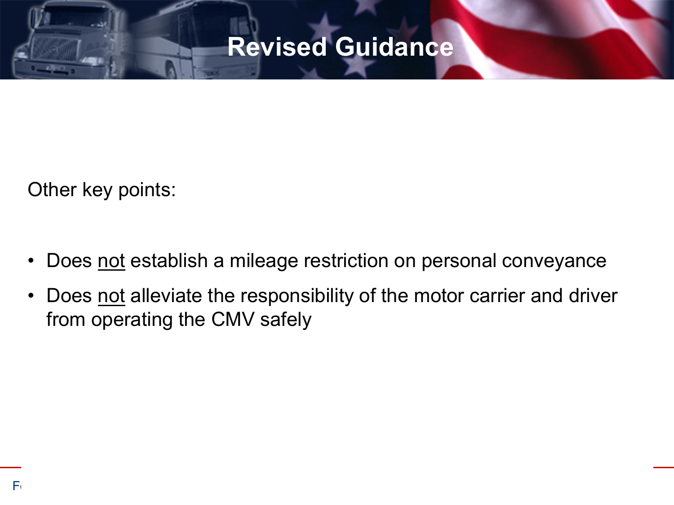#### **Revised Guidance**

Other key points:

- Does not establish a mileage restriction on personal conveyance
- Does not alleviate the responsibility of the motor carrier and driver from operating the CMV safely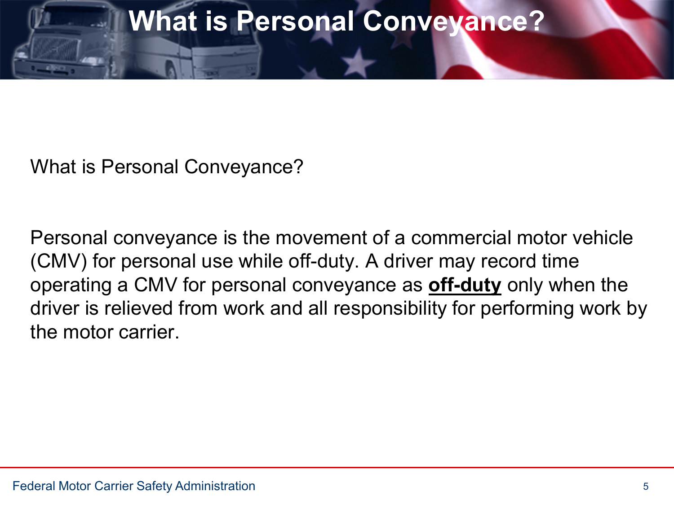#### **What is Personal Conveyance?**

What is Personal Conveyance?

Personal conveyance is the movement of a commercial motor vehicle (CMV) for personal use while off-duty. A driver may record time operating a CMV for personal conveyance as **off-duty** only when the driver is relieved from work and all responsibility for performing work by the motor carrier.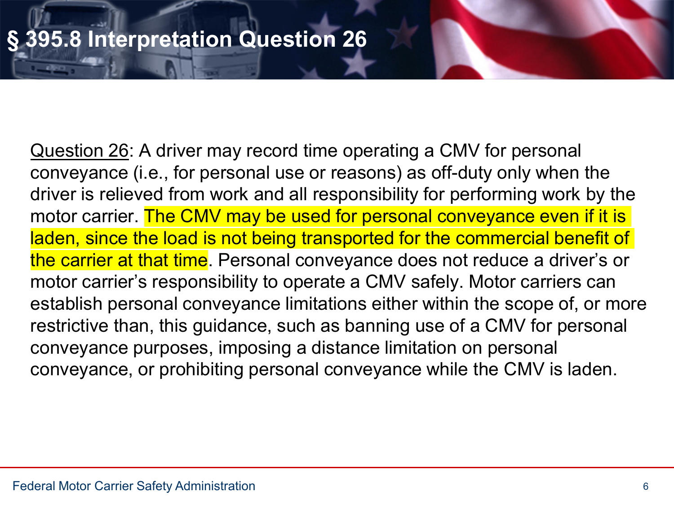Question 26: A driver may record time operating a CMV for personal conveyance (i.e., for personal use or reasons) as off-duty only when the driver is relieved from work and all responsibility for performing work by the motor carrier. The CMV may be used for personal conveyance even if it is laden, since the load is not being transported for the commercial benefit of the carrier at that time. Personal conveyance does not reduce a driver's or motor carrier's responsibility to operate a CMV safely. Motor carriers can establish personal conveyance limitations either within the scope of, or more restrictive than, this guidance, such as banning use of a CMV for personal conveyance purposes, imposing a distance limitation on personal conveyance, or prohibiting personal conveyance while the CMV is laden.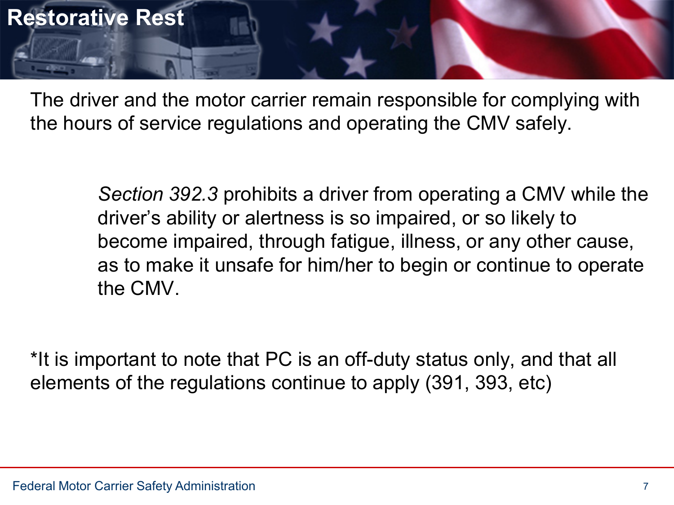

The driver and the motor carrier remain responsible for complying with the hours of service regulations and operating the CMV safely.

> *Section 392.3* prohibits a driver from operating a CMV while the driver's ability or alertness is so impaired, or so likely to become impaired, through fatigue, illness, or any other cause, as to make it unsafe for him/her to begin or continue to operate the CMV.

\*It is important to note that PC is an off-duty status only, and that all elements of the regulations continue to apply (391, 393, etc)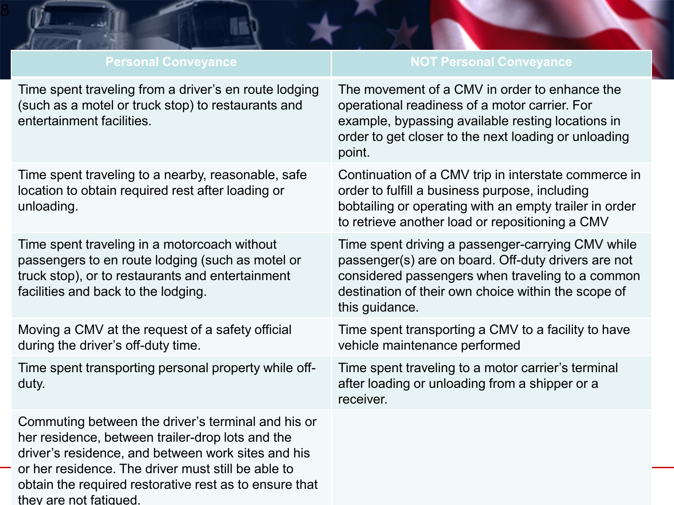| <b>Personal Conveyance</b>                                                                                                                                                                                                                                                   | <b>NOT Personal Conveyance</b>                                                                                                                                                                                                        |
|------------------------------------------------------------------------------------------------------------------------------------------------------------------------------------------------------------------------------------------------------------------------------|---------------------------------------------------------------------------------------------------------------------------------------------------------------------------------------------------------------------------------------|
| Time spent traveling from a driver's en route lodging<br>(such as a motel or truck stop) to restaurants and<br>entertainment facilities.                                                                                                                                     | The movement of a CMV in order to enhance the<br>operational readiness of a motor carrier. For<br>example, bypassing available resting locations in<br>order to get closer to the next loading or unloading<br>point.                 |
| Time spent traveling to a nearby, reasonable, safe<br>location to obtain required rest after loading or<br>unloading.                                                                                                                                                        | Continuation of a CMV trip in interstate commerce in<br>order to fulfill a business purpose, including<br>bobtailing or operating with an empty trailer in order<br>to retrieve another load or repositioning a CMV                   |
| Time spent traveling in a motorcoach without<br>passengers to en route lodging (such as motel or<br>truck stop), or to restaurants and entertainment<br>facilities and back to the lodging.                                                                                  | Time spent driving a passenger-carrying CMV while<br>passenger(s) are on board. Off-duty drivers are not<br>considered passengers when traveling to a common<br>destination of their own choice within the scope of<br>this guidance. |
| Moving a CMV at the request of a safety official<br>during the driver's off-duty time.                                                                                                                                                                                       | Time spent transporting a CMV to a facility to have<br>vehicle maintenance performed                                                                                                                                                  |
| Time spent transporting personal property while off-<br>duty.                                                                                                                                                                                                                | Time spent traveling to a motor carrier's terminal<br>after loading or unloading from a shipper or a<br>receiver.                                                                                                                     |
| Commuting between the driver's terminal and his or<br>her residence, between trailer-drop lots and the<br>driver's residence, and between work sites and his<br>or her residence. The driver must still be able to<br>obtain the required restorative rest as to ensure that |                                                                                                                                                                                                                                       |

they are not fatigued.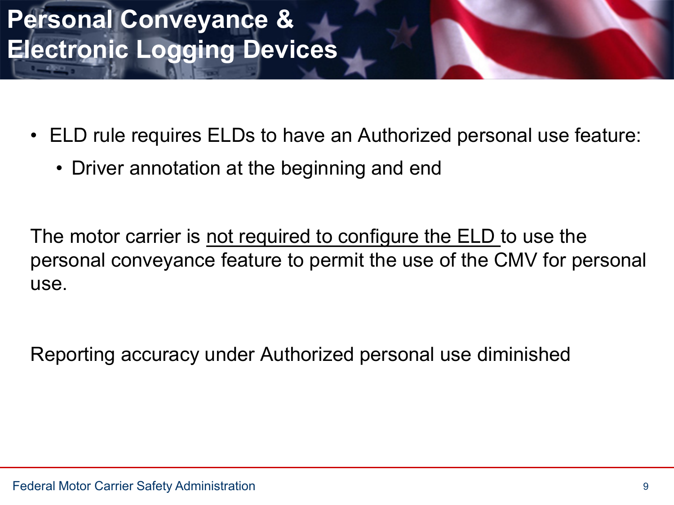#### **Personal Conveyance & Electronic Logging Devices**

- ELD rule requires ELDs to have an Authorized personal use feature:
	- Driver annotation at the beginning and end

The motor carrier is not required to configure the ELD to use the personal conveyance feature to permit the use of the CMV for personal use.

Reporting accuracy under Authorized personal use diminished